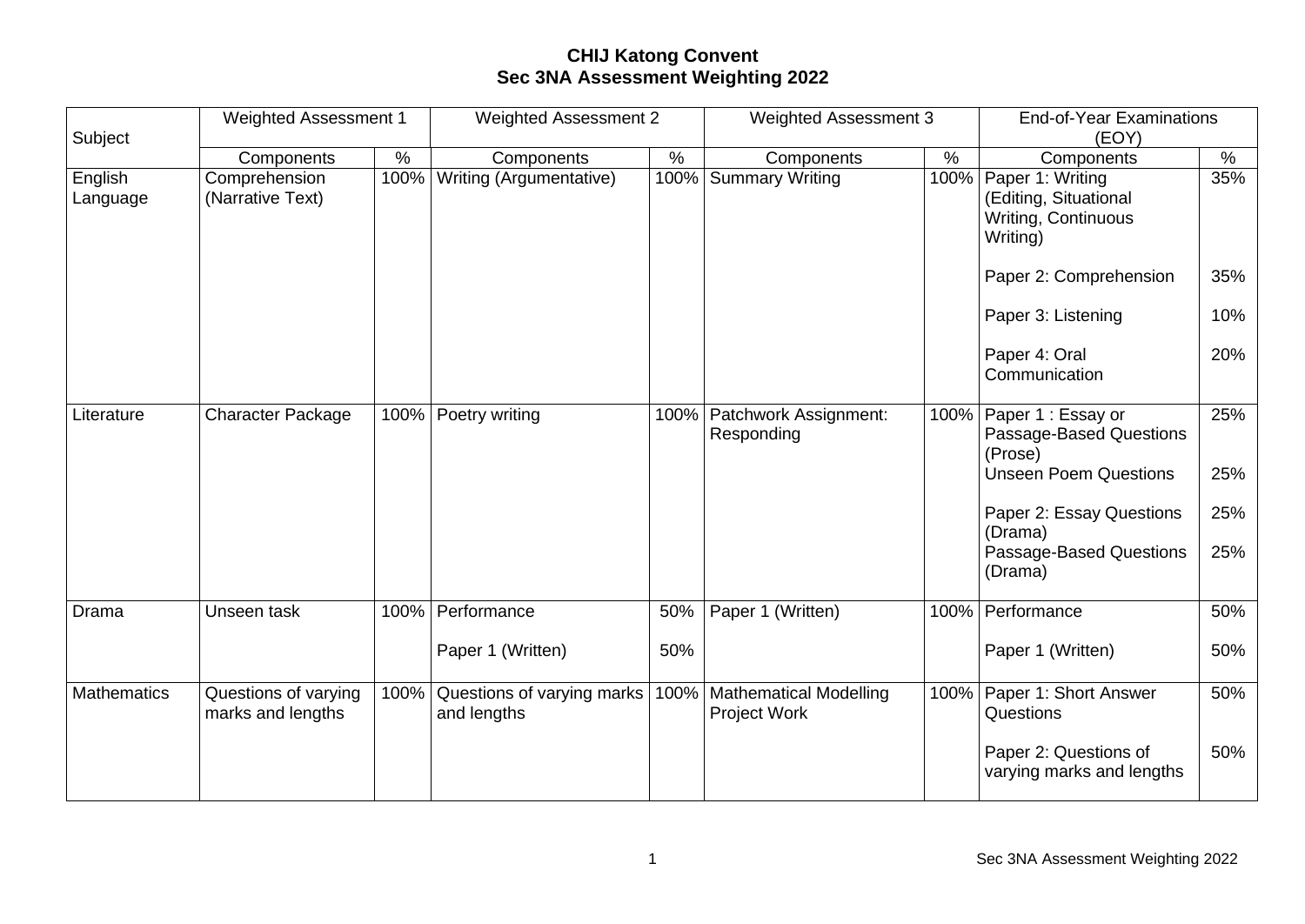## **CHIJ Katong Convent Sec 3NA Assessment Weighting 2022**

| Subject             | <b>Weighted Assessment 1</b>              |      | <b>Weighted Assessment 2</b>              |      | <b>Weighted Assessment 3</b>                         |      | <b>End-of-Year Examinations</b><br>(EOY)                                     |      |
|---------------------|-------------------------------------------|------|-------------------------------------------|------|------------------------------------------------------|------|------------------------------------------------------------------------------|------|
|                     | Components                                | $\%$ | Components                                | $\%$ | Components                                           | $\%$ | Components                                                                   | $\%$ |
| English<br>Language | Comprehension<br>(Narrative Text)         | 100% | Writing (Argumentative)                   | 100% | Summary Writing                                      | 100% | Paper 1: Writing<br>(Editing, Situational<br>Writing, Continuous<br>Writing) | 35%  |
|                     |                                           |      |                                           |      |                                                      |      | Paper 2: Comprehension                                                       | 35%  |
|                     |                                           |      |                                           |      |                                                      |      | Paper 3: Listening                                                           | 10%  |
|                     |                                           |      |                                           |      |                                                      |      | Paper 4: Oral<br>Communication                                               | 20%  |
| Literature          | <b>Character Package</b>                  | 100% | Poetry writing                            |      | 100%   Patchwork Assignment:<br>Responding           | 100% | Paper 1 : Essay or<br>Passage-Based Questions<br>(Prose)                     | 25%  |
|                     |                                           |      |                                           |      |                                                      |      | <b>Unseen Poem Questions</b>                                                 | 25%  |
|                     |                                           |      |                                           |      |                                                      |      | Paper 2: Essay Questions<br>(Drama)                                          | 25%  |
|                     |                                           |      |                                           |      |                                                      |      | Passage-Based Questions<br>(Drama)                                           | 25%  |
| Drama               | Unseen task                               |      | 100% Performance                          | 50%  | Paper 1 (Written)                                    | 100% | Performance                                                                  | 50%  |
|                     |                                           |      | Paper 1 (Written)                         | 50%  |                                                      |      | Paper 1 (Written)                                                            | 50%  |
| <b>Mathematics</b>  | Questions of varying<br>marks and lengths | 100% | Questions of varying marks<br>and lengths |      | 100%   Mathematical Modelling<br><b>Project Work</b> | 100% | Paper 1: Short Answer<br>Questions                                           | 50%  |
|                     |                                           |      |                                           |      |                                                      |      | Paper 2: Questions of<br>varying marks and lengths                           | 50%  |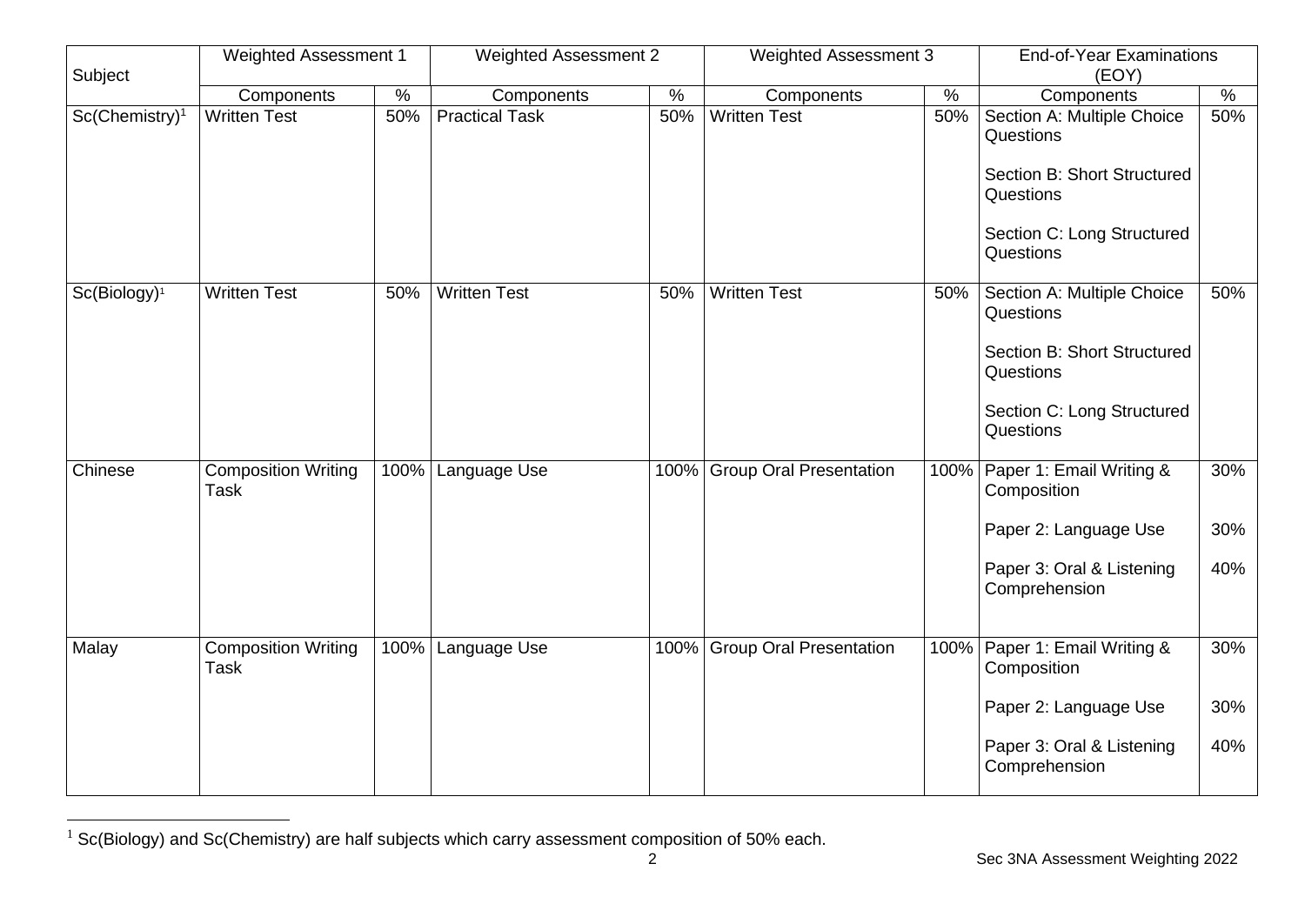| Subject           | Weighted Assessment 1                     |      | <b>Weighted Assessment 2</b> |      | <b>Weighted Assessment 3</b>   |      | <b>End-of-Year Examinations</b><br>(EOY)                                                                                       |                   |
|-------------------|-------------------------------------------|------|------------------------------|------|--------------------------------|------|--------------------------------------------------------------------------------------------------------------------------------|-------------------|
|                   | Components                                | $\%$ | Components                   | $\%$ | Components                     | $\%$ | Components                                                                                                                     | %                 |
| $Sc(Chemistry)^1$ | <b>Written Test</b>                       | 50%  | <b>Practical Task</b>        | 50%  | <b>Written Test</b>            | 50%  | Section A: Multiple Choice<br>Questions<br>Section B: Short Structured<br>Questions<br>Section C: Long Structured<br>Questions | 50%               |
| $Sc(Biology)^1$   | <b>Written Test</b>                       | 50%  | <b>Written Test</b>          | 50%  | <b>Written Test</b>            | 50%  | Section A: Multiple Choice<br>Questions<br>Section B: Short Structured<br>Questions<br>Section C: Long Structured<br>Questions | 50%               |
| Chinese           | <b>Composition Writing</b><br><b>Task</b> | 100% | Language Use                 |      | 100% Group Oral Presentation   |      | 100% Paper 1: Email Writing &<br>Composition<br>Paper 2: Language Use<br>Paper 3: Oral & Listening<br>Comprehension            | 30%<br>30%<br>40% |
| Malay             | <b>Composition Writing</b><br><b>Task</b> | 100% | Language Use                 | 100% | <b>Group Oral Presentation</b> | 100% | Paper 1: Email Writing &<br>Composition<br>Paper 2: Language Use<br>Paper 3: Oral & Listening<br>Comprehension                 | 30%<br>30%<br>40% |

<sup>&</sup>lt;sup>1</sup> Sc(Biology) and Sc(Chemistry) are half subjects which carry assessment composition of 50% each.